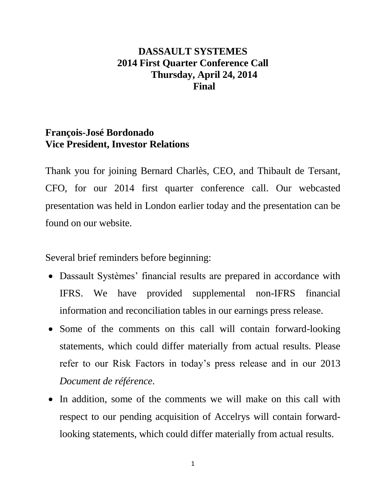## **DASSAULT SYSTEMES 2014 First Quarter Conference Call Thursday, April 24, 2014 Final**

### **François-José Bordonado Vice President, Investor Relations**

Thank you for joining Bernard Charlès, CEO, and Thibault de Tersant, CFO, for our 2014 first quarter conference call. Our webcasted presentation was held in London earlier today and the presentation can be found on our website.

Several brief reminders before beginning:

- Dassault Systèmes' financial results are prepared in accordance with IFRS. We have provided supplemental non-IFRS financial information and reconciliation tables in our earnings press release.
- Some of the comments on this call will contain forward-looking statements, which could differ materially from actual results. Please refer to our Risk Factors in today's press release and in our 2013 *Document de référence*.
- In addition, some of the comments we will make on this call with respect to our pending acquisition of Accelrys will contain forwardlooking statements, which could differ materially from actual results.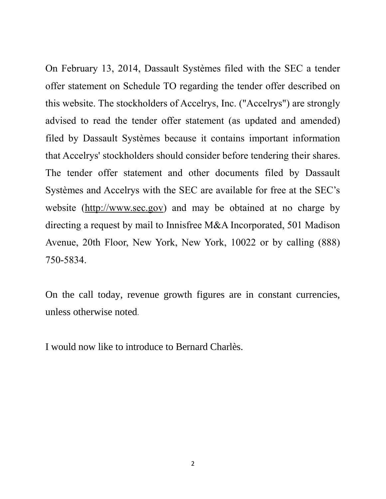On February 13, 2014, Dassault Systèmes filed with the SEC a tender offer statement on Schedule TO regarding the tender offer described on this website. The stockholders of Accelrys, Inc. ("Accelrys") are strongly advised to read the tender offer statement (as updated and amended) filed by Dassault Systèmes because it contains important information that Accelrys' stockholders should consider before tendering their shares. The tender offer statement and other documents filed by Dassault Systèmes and Accelrys with the SEC are available for free at the SEC's website [\(http://www.sec.gov\)](http://www.sec.gov/) and may be obtained at no charge by directing a request by mail to Innisfree M&A Incorporated, 501 Madison Avenue, 20th Floor, New York, New York, 10022 or by calling (888) 750-5834.

On the call today, revenue growth figures are in constant currencies, unless otherwise noted.

I would now like to introduce to Bernard Charlès.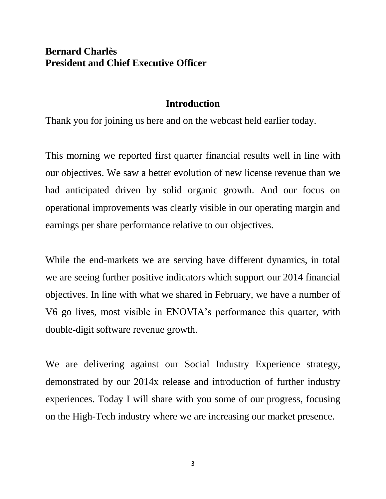## **Bernard Charlès President and Chief Executive Officer**

### **Introduction**

Thank you for joining us here and on the webcast held earlier today.

This morning we reported first quarter financial results well in line with our objectives. We saw a better evolution of new license revenue than we had anticipated driven by solid organic growth. And our focus on operational improvements was clearly visible in our operating margin and earnings per share performance relative to our objectives.

While the end-markets we are serving have different dynamics, in total we are seeing further positive indicators which support our 2014 financial objectives. In line with what we shared in February, we have a number of V6 go lives, most visible in ENOVIA's performance this quarter, with double-digit software revenue growth.

We are delivering against our Social Industry Experience strategy, demonstrated by our 2014x release and introduction of further industry experiences. Today I will share with you some of our progress, focusing on the High-Tech industry where we are increasing our market presence.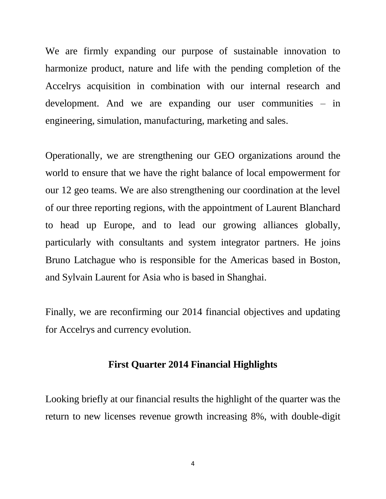We are firmly expanding our purpose of sustainable innovation to harmonize product, nature and life with the pending completion of the Accelrys acquisition in combination with our internal research and development. And we are expanding our user communities – in engineering, simulation, manufacturing, marketing and sales.

Operationally, we are strengthening our GEO organizations around the world to ensure that we have the right balance of local empowerment for our 12 geo teams. We are also strengthening our coordination at the level of our three reporting regions, with the appointment of Laurent Blanchard to head up Europe, and to lead our growing alliances globally, particularly with consultants and system integrator partners. He joins Bruno Latchague who is responsible for the Americas based in Boston, and Sylvain Laurent for Asia who is based in Shanghai.

Finally, we are reconfirming our 2014 financial objectives and updating for Accelrys and currency evolution.

### **First Quarter 2014 Financial Highlights**

Looking briefly at our financial results the highlight of the quarter was the return to new licenses revenue growth increasing 8%, with double-digit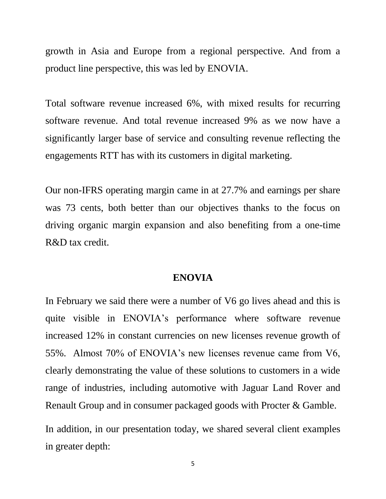growth in Asia and Europe from a regional perspective. And from a product line perspective, this was led by ENOVIA.

Total software revenue increased 6%, with mixed results for recurring software revenue. And total revenue increased 9% as we now have a significantly larger base of service and consulting revenue reflecting the engagements RTT has with its customers in digital marketing.

Our non-IFRS operating margin came in at 27.7% and earnings per share was 73 cents, both better than our objectives thanks to the focus on driving organic margin expansion and also benefiting from a one-time R&D tax credit.

#### **ENOVIA**

In February we said there were a number of V6 go lives ahead and this is quite visible in ENOVIA's performance where software revenue increased 12% in constant currencies on new licenses revenue growth of 55%. Almost 70% of ENOVIA's new licenses revenue came from V6, clearly demonstrating the value of these solutions to customers in a wide range of industries, including automotive with Jaguar Land Rover and Renault Group and in consumer packaged goods with Procter & Gamble.

In addition, in our presentation today, we shared several client examples in greater depth: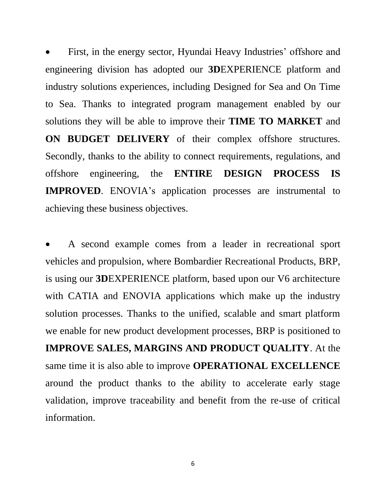First, in the energy sector, Hyundai Heavy Industries' offshore and engineering division has adopted our **3D**EXPERIENCE platform and industry solutions experiences, including Designed for Sea and On Time to Sea. Thanks to integrated program management enabled by our solutions they will be able to improve their **TIME TO MARKET** and **ON BUDGET DELIVERY** of their complex offshore structures. Secondly, thanks to the ability to connect requirements, regulations, and offshore engineering, the **ENTIRE DESIGN PROCESS IS IMPROVED**. ENOVIA's application processes are instrumental to achieving these business objectives.

 A second example comes from a leader in recreational sport vehicles and propulsion, where Bombardier Recreational Products, BRP, is using our **3D**EXPERIENCE platform, based upon our V6 architecture with CATIA and ENOVIA applications which make up the industry solution processes. Thanks to the unified, scalable and smart platform we enable for new product development processes, BRP is positioned to **IMPROVE SALES, MARGINS AND PRODUCT QUALITY**. At the same time it is also able to improve **OPERATIONAL EXCELLENCE** around the product thanks to the ability to accelerate early stage validation, improve traceability and benefit from the re-use of critical information.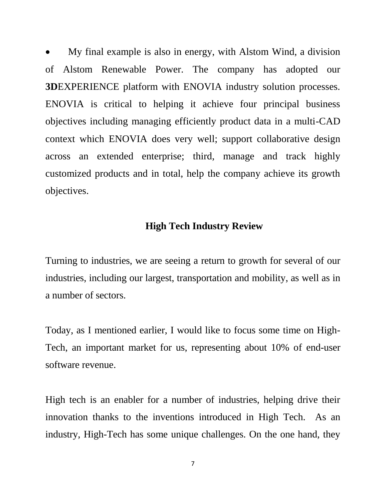My final example is also in energy, with Alstom Wind, a division of Alstom Renewable Power. The company has adopted our **3D**EXPERIENCE platform with ENOVIA industry solution processes. ENOVIA is critical to helping it achieve four principal business objectives including managing efficiently product data in a multi-CAD context which ENOVIA does very well; support collaborative design across an extended enterprise; third, manage and track highly customized products and in total, help the company achieve its growth objectives.

### **High Tech Industry Review**

Turning to industries, we are seeing a return to growth for several of our industries, including our largest, transportation and mobility, as well as in a number of sectors.

Today, as I mentioned earlier, I would like to focus some time on High-Tech, an important market for us, representing about 10% of end-user software revenue.

High tech is an enabler for a number of industries, helping drive their innovation thanks to the inventions introduced in High Tech. As an industry, High-Tech has some unique challenges. On the one hand, they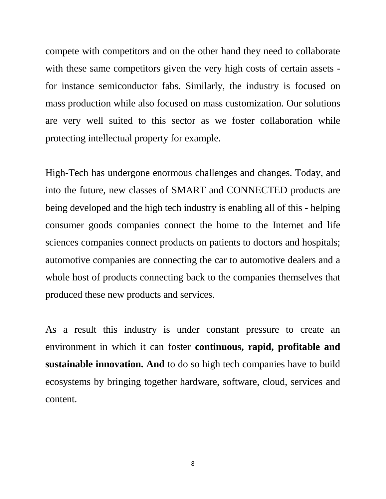compete with competitors and on the other hand they need to collaborate with these same competitors given the very high costs of certain assets for instance semiconductor fabs. Similarly, the industry is focused on mass production while also focused on mass customization. Our solutions are very well suited to this sector as we foster collaboration while protecting intellectual property for example.

High-Tech has undergone enormous challenges and changes. Today, and into the future, new classes of SMART and CONNECTED products are being developed and the high tech industry is enabling all of this - helping consumer goods companies connect the home to the Internet and life sciences companies connect products on patients to doctors and hospitals; automotive companies are connecting the car to automotive dealers and a whole host of products connecting back to the companies themselves that produced these new products and services.

As a result this industry is under constant pressure to create an environment in which it can foster **continuous, rapid, profitable and sustainable innovation. And** to do so high tech companies have to build ecosystems by bringing together hardware, software, cloud, services and content.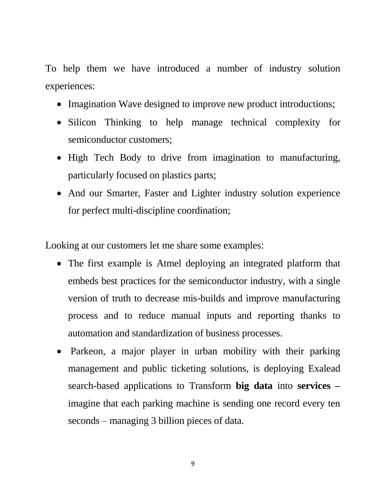To help them we have introduced a number of industry solution experiences:

- Imagination Wave designed to improve new product introductions;
- Silicon Thinking to help manage technical complexity for semiconductor customers;
- High Tech Body to drive from imagination to manufacturing, particularly focused on plastics parts;
- And our Smarter, Faster and Lighter industry solution experience for perfect multi-discipline coordination;

Looking at our customers let me share some examples:

- The first example is Atmel deploying an integrated platform that embeds best practices for the semiconductor industry, with a single version of truth to decrease mis-builds and improve manufacturing process and to reduce manual inputs and reporting thanks to automation and standardization of business processes.
- Parkeon, a major player in urban mobility with their parking management and public ticketing solutions, is deploying Exalead search-based applications to Transform **big data** into **services –** imagine that each parking machine is sending one record every ten seconds – managing 3 billion pieces of data.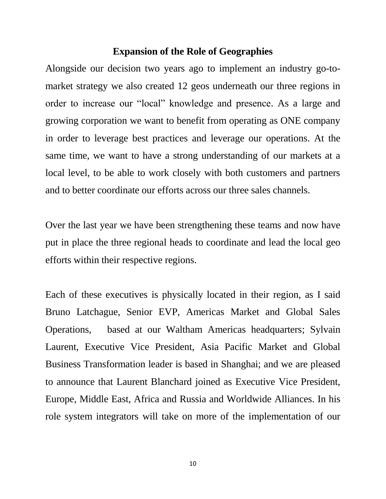### **Expansion of the Role of Geographies**

Alongside our decision two years ago to implement an industry go-tomarket strategy we also created 12 geos underneath our three regions in order to increase our "local" knowledge and presence. As a large and growing corporation we want to benefit from operating as ONE company in order to leverage best practices and leverage our operations. At the same time, we want to have a strong understanding of our markets at a local level, to be able to work closely with both customers and partners and to better coordinate our efforts across our three sales channels.

Over the last year we have been strengthening these teams and now have put in place the three regional heads to coordinate and lead the local geo efforts within their respective regions.

Each of these executives is physically located in their region, as I said Bruno Latchague, Senior EVP, Americas Market and Global Sales Operations, based at our Waltham Americas headquarters; Sylvain Laurent, Executive Vice President, Asia Pacific Market and Global Business Transformation leader is based in Shanghai; and we are pleased to announce that Laurent Blanchard joined as Executive Vice President, Europe, Middle East, Africa and Russia and Worldwide Alliances. In his role system integrators will take on more of the implementation of our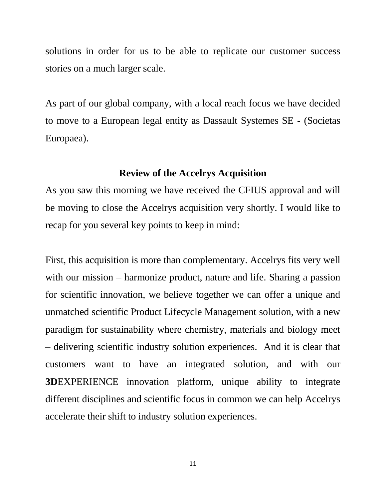solutions in order for us to be able to replicate our customer success stories on a much larger scale.

As part of our global company, with a local reach focus we have decided to move to a European legal entity as Dassault Systemes SE - (Societas Europaea).

### **Review of the Accelrys Acquisition**

As you saw this morning we have received the CFIUS approval and will be moving to close the Accelrys acquisition very shortly. I would like to recap for you several key points to keep in mind:

First, this acquisition is more than complementary. Accelrys fits very well with our mission – harmonize product, nature and life. Sharing a passion for scientific innovation, we believe together we can offer a unique and unmatched scientific Product Lifecycle Management solution, with a new paradigm for sustainability where chemistry, materials and biology meet – delivering scientific industry solution experiences. And it is clear that customers want to have an integrated solution, and with our **3D**EXPERIENCE innovation platform, unique ability to integrate different disciplines and scientific focus in common we can help Accelrys accelerate their shift to industry solution experiences.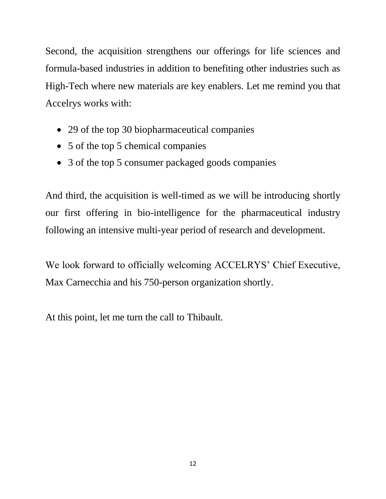Second, the acquisition strengthens our offerings for life sciences and formula-based industries in addition to benefiting other industries such as High-Tech where new materials are key enablers. Let me remind you that Accelrys works with:

- 29 of the top 30 biopharmaceutical companies
- 5 of the top 5 chemical companies
- 3 of the top 5 consumer packaged goods companies

And third, the acquisition is well-timed as we will be introducing shortly our first offering in bio-intelligence for the pharmaceutical industry following an intensive multi-year period of research and development.

We look forward to officially welcoming ACCELRYS' Chief Executive, Max Carnecchia and his 750-person organization shortly.

At this point, let me turn the call to Thibault.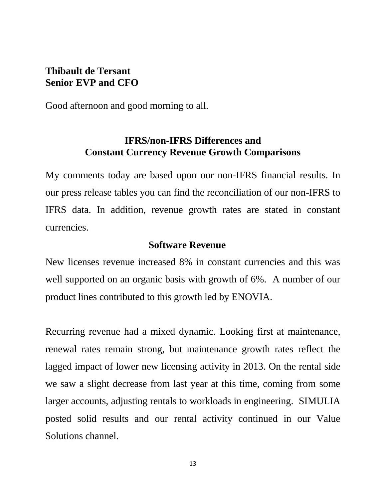## **Thibault de Tersant Senior EVP and CFO**

Good afternoon and good morning to all.

## **IFRS/non-IFRS Differences and Constant Currency Revenue Growth Comparisons**

My comments today are based upon our non-IFRS financial results. In our press release tables you can find the reconciliation of our non-IFRS to IFRS data. In addition, revenue growth rates are stated in constant currencies.

### **Software Revenue**

New licenses revenue increased 8% in constant currencies and this was well supported on an organic basis with growth of 6%. A number of our product lines contributed to this growth led by ENOVIA.

Recurring revenue had a mixed dynamic. Looking first at maintenance, renewal rates remain strong, but maintenance growth rates reflect the lagged impact of lower new licensing activity in 2013. On the rental side we saw a slight decrease from last year at this time, coming from some larger accounts, adjusting rentals to workloads in engineering. SIMULIA posted solid results and our rental activity continued in our Value Solutions channel.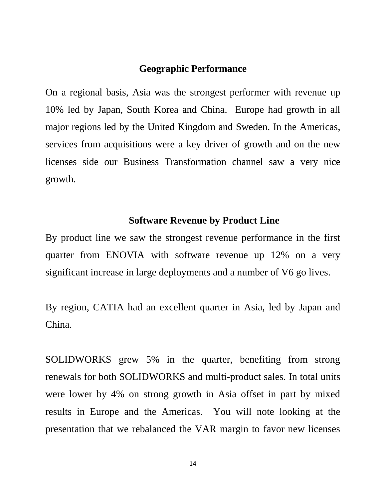### **Geographic Performance**

On a regional basis, Asia was the strongest performer with revenue up 10% led by Japan, South Korea and China. Europe had growth in all major regions led by the United Kingdom and Sweden. In the Americas, services from acquisitions were a key driver of growth and on the new licenses side our Business Transformation channel saw a very nice growth.

### **Software Revenue by Product Line**

By product line we saw the strongest revenue performance in the first quarter from ENOVIA with software revenue up 12% on a very significant increase in large deployments and a number of V6 go lives.

By region, CATIA had an excellent quarter in Asia, led by Japan and China.

SOLIDWORKS grew 5% in the quarter, benefiting from strong renewals for both SOLIDWORKS and multi-product sales. In total units were lower by 4% on strong growth in Asia offset in part by mixed results in Europe and the Americas. You will note looking at the presentation that we rebalanced the VAR margin to favor new licenses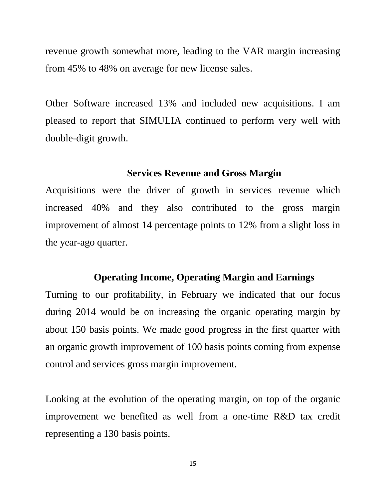revenue growth somewhat more, leading to the VAR margin increasing from 45% to 48% on average for new license sales.

Other Software increased 13% and included new acquisitions. I am pleased to report that SIMULIA continued to perform very well with double-digit growth.

#### **Services Revenue and Gross Margin**

Acquisitions were the driver of growth in services revenue which increased 40% and they also contributed to the gross margin improvement of almost 14 percentage points to 12% from a slight loss in the year-ago quarter.

#### **Operating Income, Operating Margin and Earnings**

Turning to our profitability, in February we indicated that our focus during 2014 would be on increasing the organic operating margin by about 150 basis points. We made good progress in the first quarter with an organic growth improvement of 100 basis points coming from expense control and services gross margin improvement.

Looking at the evolution of the operating margin, on top of the organic improvement we benefited as well from a one-time R&D tax credit representing a 130 basis points.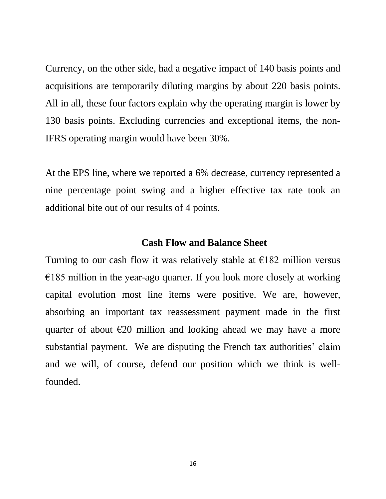Currency, on the other side, had a negative impact of 140 basis points and acquisitions are temporarily diluting margins by about 220 basis points. All in all, these four factors explain why the operating margin is lower by 130 basis points. Excluding currencies and exceptional items, the non-IFRS operating margin would have been 30%.

At the EPS line, where we reported a 6% decrease, currency represented a nine percentage point swing and a higher effective tax rate took an additional bite out of our results of 4 points.

#### **Cash Flow and Balance Sheet**

Turning to our cash flow it was relatively stable at  $\epsilon$ 182 million versus  $€185$  million in the year-ago quarter. If you look more closely at working capital evolution most line items were positive. We are, however, absorbing an important tax reassessment payment made in the first quarter of about  $\epsilon$ 20 million and looking ahead we may have a more substantial payment. We are disputing the French tax authorities' claim and we will, of course, defend our position which we think is wellfounded.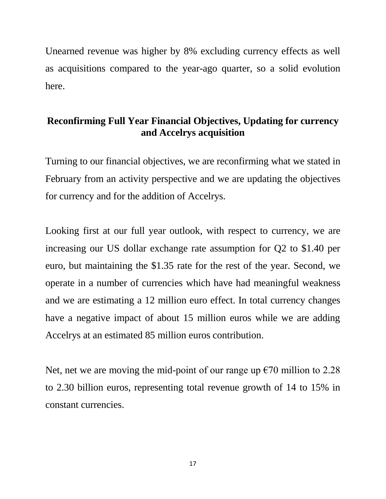Unearned revenue was higher by 8% excluding currency effects as well as acquisitions compared to the year-ago quarter, so a solid evolution here.

# **Reconfirming Full Year Financial Objectives, Updating for currency and Accelrys acquisition**

Turning to our financial objectives, we are reconfirming what we stated in February from an activity perspective and we are updating the objectives for currency and for the addition of Accelrys.

Looking first at our full year outlook, with respect to currency, we are increasing our US dollar exchange rate assumption for Q2 to \$1.40 per euro, but maintaining the \$1.35 rate for the rest of the year. Second, we operate in a number of currencies which have had meaningful weakness and we are estimating a 12 million euro effect. In total currency changes have a negative impact of about 15 million euros while we are adding Accelrys at an estimated 85 million euros contribution.

Net, net we are moving the mid-point of our range up  $\epsilon$ 70 million to 2.28 to 2.30 billion euros, representing total revenue growth of 14 to 15% in constant currencies.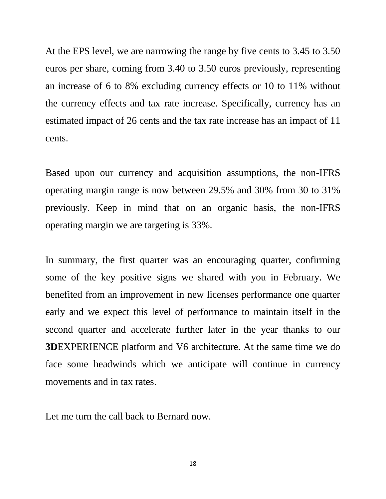At the EPS level, we are narrowing the range by five cents to 3.45 to 3.50 euros per share, coming from 3.40 to 3.50 euros previously, representing an increase of 6 to 8% excluding currency effects or 10 to 11% without the currency effects and tax rate increase. Specifically, currency has an estimated impact of 26 cents and the tax rate increase has an impact of 11 cents.

Based upon our currency and acquisition assumptions, the non-IFRS operating margin range is now between 29.5% and 30% from 30 to 31% previously. Keep in mind that on an organic basis, the non-IFRS operating margin we are targeting is 33%.

In summary, the first quarter was an encouraging quarter, confirming some of the key positive signs we shared with you in February. We benefited from an improvement in new licenses performance one quarter early and we expect this level of performance to maintain itself in the second quarter and accelerate further later in the year thanks to our **3D**EXPERIENCE platform and V6 architecture. At the same time we do face some headwinds which we anticipate will continue in currency movements and in tax rates.

Let me turn the call back to Bernard now.